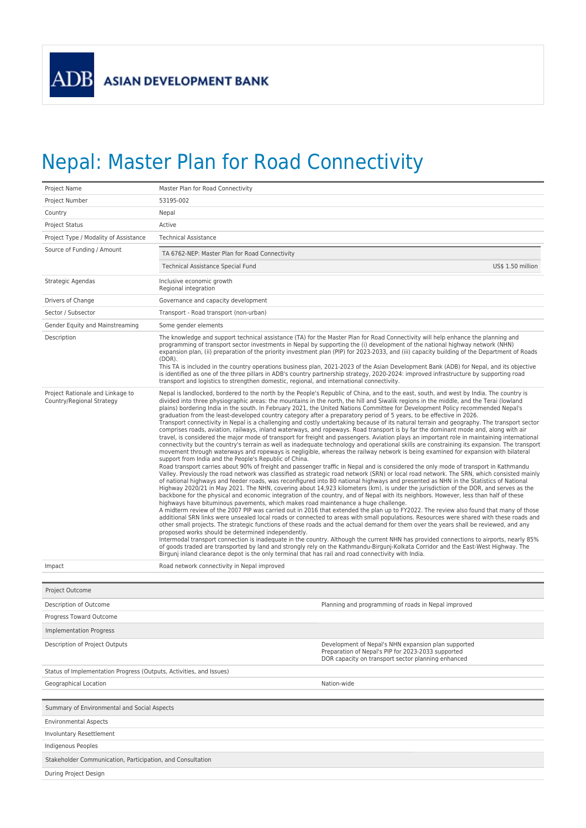## Nepal: Master Plan for Road Connectivity

| Project Name                                                        | Master Plan for Road Connectivity                                                                                                                                                                                                                                                                                                                                                                                                                                                                                                                                                                                                                                                                                                                                                                                                                                                                                                                                                                                                                                                                                                                                                                                                                                                                                                                                                                                                                                                                                                                                                                                                                                                                                                                                                                                                                                                                                                                                                                                                                                                                                                                                                                                                                                                                                                                                                                                                                                                                                                                                                                                                                                                                                                                                                                                                                                                                                                                                                                              |                                                                                                                                                                                                                                                                                                                                                                                                                                                                                                                                                                                                                                                                                                       |  |  |
|---------------------------------------------------------------------|----------------------------------------------------------------------------------------------------------------------------------------------------------------------------------------------------------------------------------------------------------------------------------------------------------------------------------------------------------------------------------------------------------------------------------------------------------------------------------------------------------------------------------------------------------------------------------------------------------------------------------------------------------------------------------------------------------------------------------------------------------------------------------------------------------------------------------------------------------------------------------------------------------------------------------------------------------------------------------------------------------------------------------------------------------------------------------------------------------------------------------------------------------------------------------------------------------------------------------------------------------------------------------------------------------------------------------------------------------------------------------------------------------------------------------------------------------------------------------------------------------------------------------------------------------------------------------------------------------------------------------------------------------------------------------------------------------------------------------------------------------------------------------------------------------------------------------------------------------------------------------------------------------------------------------------------------------------------------------------------------------------------------------------------------------------------------------------------------------------------------------------------------------------------------------------------------------------------------------------------------------------------------------------------------------------------------------------------------------------------------------------------------------------------------------------------------------------------------------------------------------------------------------------------------------------------------------------------------------------------------------------------------------------------------------------------------------------------------------------------------------------------------------------------------------------------------------------------------------------------------------------------------------------------------------------------------------------------------------------------------------------|-------------------------------------------------------------------------------------------------------------------------------------------------------------------------------------------------------------------------------------------------------------------------------------------------------------------------------------------------------------------------------------------------------------------------------------------------------------------------------------------------------------------------------------------------------------------------------------------------------------------------------------------------------------------------------------------------------|--|--|
| Project Number                                                      | 53195-002                                                                                                                                                                                                                                                                                                                                                                                                                                                                                                                                                                                                                                                                                                                                                                                                                                                                                                                                                                                                                                                                                                                                                                                                                                                                                                                                                                                                                                                                                                                                                                                                                                                                                                                                                                                                                                                                                                                                                                                                                                                                                                                                                                                                                                                                                                                                                                                                                                                                                                                                                                                                                                                                                                                                                                                                                                                                                                                                                                                                      |                                                                                                                                                                                                                                                                                                                                                                                                                                                                                                                                                                                                                                                                                                       |  |  |
| Country                                                             | Nepal                                                                                                                                                                                                                                                                                                                                                                                                                                                                                                                                                                                                                                                                                                                                                                                                                                                                                                                                                                                                                                                                                                                                                                                                                                                                                                                                                                                                                                                                                                                                                                                                                                                                                                                                                                                                                                                                                                                                                                                                                                                                                                                                                                                                                                                                                                                                                                                                                                                                                                                                                                                                                                                                                                                                                                                                                                                                                                                                                                                                          |                                                                                                                                                                                                                                                                                                                                                                                                                                                                                                                                                                                                                                                                                                       |  |  |
| <b>Project Status</b>                                               | Active                                                                                                                                                                                                                                                                                                                                                                                                                                                                                                                                                                                                                                                                                                                                                                                                                                                                                                                                                                                                                                                                                                                                                                                                                                                                                                                                                                                                                                                                                                                                                                                                                                                                                                                                                                                                                                                                                                                                                                                                                                                                                                                                                                                                                                                                                                                                                                                                                                                                                                                                                                                                                                                                                                                                                                                                                                                                                                                                                                                                         |                                                                                                                                                                                                                                                                                                                                                                                                                                                                                                                                                                                                                                                                                                       |  |  |
| Project Type / Modality of Assistance                               | <b>Technical Assistance</b>                                                                                                                                                                                                                                                                                                                                                                                                                                                                                                                                                                                                                                                                                                                                                                                                                                                                                                                                                                                                                                                                                                                                                                                                                                                                                                                                                                                                                                                                                                                                                                                                                                                                                                                                                                                                                                                                                                                                                                                                                                                                                                                                                                                                                                                                                                                                                                                                                                                                                                                                                                                                                                                                                                                                                                                                                                                                                                                                                                                    |                                                                                                                                                                                                                                                                                                                                                                                                                                                                                                                                                                                                                                                                                                       |  |  |
| Source of Funding / Amount                                          | TA 6762-NEP: Master Plan for Road Connectivity                                                                                                                                                                                                                                                                                                                                                                                                                                                                                                                                                                                                                                                                                                                                                                                                                                                                                                                                                                                                                                                                                                                                                                                                                                                                                                                                                                                                                                                                                                                                                                                                                                                                                                                                                                                                                                                                                                                                                                                                                                                                                                                                                                                                                                                                                                                                                                                                                                                                                                                                                                                                                                                                                                                                                                                                                                                                                                                                                                 |                                                                                                                                                                                                                                                                                                                                                                                                                                                                                                                                                                                                                                                                                                       |  |  |
|                                                                     | Technical Assistance Special Fund                                                                                                                                                                                                                                                                                                                                                                                                                                                                                                                                                                                                                                                                                                                                                                                                                                                                                                                                                                                                                                                                                                                                                                                                                                                                                                                                                                                                                                                                                                                                                                                                                                                                                                                                                                                                                                                                                                                                                                                                                                                                                                                                                                                                                                                                                                                                                                                                                                                                                                                                                                                                                                                                                                                                                                                                                                                                                                                                                                              | US\$ 1.50 million                                                                                                                                                                                                                                                                                                                                                                                                                                                                                                                                                                                                                                                                                     |  |  |
| Strategic Agendas                                                   | Inclusive economic growth<br>Regional integration                                                                                                                                                                                                                                                                                                                                                                                                                                                                                                                                                                                                                                                                                                                                                                                                                                                                                                                                                                                                                                                                                                                                                                                                                                                                                                                                                                                                                                                                                                                                                                                                                                                                                                                                                                                                                                                                                                                                                                                                                                                                                                                                                                                                                                                                                                                                                                                                                                                                                                                                                                                                                                                                                                                                                                                                                                                                                                                                                              |                                                                                                                                                                                                                                                                                                                                                                                                                                                                                                                                                                                                                                                                                                       |  |  |
| Drivers of Change                                                   | Governance and capacity development                                                                                                                                                                                                                                                                                                                                                                                                                                                                                                                                                                                                                                                                                                                                                                                                                                                                                                                                                                                                                                                                                                                                                                                                                                                                                                                                                                                                                                                                                                                                                                                                                                                                                                                                                                                                                                                                                                                                                                                                                                                                                                                                                                                                                                                                                                                                                                                                                                                                                                                                                                                                                                                                                                                                                                                                                                                                                                                                                                            |                                                                                                                                                                                                                                                                                                                                                                                                                                                                                                                                                                                                                                                                                                       |  |  |
| Sector / Subsector                                                  | Transport - Road transport (non-urban)                                                                                                                                                                                                                                                                                                                                                                                                                                                                                                                                                                                                                                                                                                                                                                                                                                                                                                                                                                                                                                                                                                                                                                                                                                                                                                                                                                                                                                                                                                                                                                                                                                                                                                                                                                                                                                                                                                                                                                                                                                                                                                                                                                                                                                                                                                                                                                                                                                                                                                                                                                                                                                                                                                                                                                                                                                                                                                                                                                         |                                                                                                                                                                                                                                                                                                                                                                                                                                                                                                                                                                                                                                                                                                       |  |  |
| Gender Equity and Mainstreaming                                     | Some gender elements                                                                                                                                                                                                                                                                                                                                                                                                                                                                                                                                                                                                                                                                                                                                                                                                                                                                                                                                                                                                                                                                                                                                                                                                                                                                                                                                                                                                                                                                                                                                                                                                                                                                                                                                                                                                                                                                                                                                                                                                                                                                                                                                                                                                                                                                                                                                                                                                                                                                                                                                                                                                                                                                                                                                                                                                                                                                                                                                                                                           |                                                                                                                                                                                                                                                                                                                                                                                                                                                                                                                                                                                                                                                                                                       |  |  |
| Description                                                         | $(DOR)$ .<br>transport and logistics to strengthen domestic, regional, and international connectivity.                                                                                                                                                                                                                                                                                                                                                                                                                                                                                                                                                                                                                                                                                                                                                                                                                                                                                                                                                                                                                                                                                                                                                                                                                                                                                                                                                                                                                                                                                                                                                                                                                                                                                                                                                                                                                                                                                                                                                                                                                                                                                                                                                                                                                                                                                                                                                                                                                                                                                                                                                                                                                                                                                                                                                                                                                                                                                                         | The knowledge and support technical assistance (TA) for the Master Plan for Road Connectivity will help enhance the planning and<br>programming of transport sector investments in Nepal by supporting the (i) development of the national highway network (NHN)<br>expansion plan, (ii) preparation of the priority investment plan (PIP) for 2023-2033, and (iii) capacity building of the Department of Roads<br>This TA is included in the country operations business plan, 2021-2023 of the Asian Development Bank (ADB) for Nepal, and its objective<br>is identified as one of the three pillars in ADB's country partnership strategy, 2020-2024: improved infrastructure by supporting road |  |  |
| Project Rationale and Linkage to<br>Country/Regional Strategy       | Nepal is landlocked, bordered to the north by the People's Republic of China, and to the east, south, and west by India. The country is<br>divided into three physiographic areas: the mountains in the north, the hill and Siwalik regions in the middle, and the Terai (lowland<br>plains) bordering India in the south. In February 2021, the United Nations Committee for Development Policy recommended Nepal's<br>graduation from the least-developed country category after a preparatory period of 5 years, to be effective in 2026.<br>Transport connectivity in Nepal is a challenging and costly undertaking because of its natural terrain and geography. The transport sector<br>comprises roads, aviation, railways, inland waterways, and ropeways. Road transport is by far the dominant mode and, along with air<br>travel, is considered the major mode of transport for freight and passengers. Aviation plays an important role in maintaining international<br>connectivity but the country's terrain as well as inadequate technology and operational skills are constraining its expansion. The transport<br>movement through waterways and ropeways is negligible, whereas the railway network is being examined for expansion with bilateral<br>support from India and the People's Republic of China.<br>Road transport carries about 90% of freight and passenger traffic in Nepal and is considered the only mode of transport in Kathmandu<br>Valley. Previously the road network was classified as strategic road network (SRN) or local road network. The SRN, which consisted mainly<br>of national highways and feeder roads, was reconfigured into 80 national highways and presented as NHN in the Statistics of National<br>Highway 2020/21 in May 2021. The NHN, covering about 14,923 kilometers (km), is under the jurisdiction of the DOR, and serves as the<br>backbone for the physical and economic integration of the country, and of Nepal with its neighbors. However, less than half of these<br>highways have bituminous pavements, which makes road maintenance a huge challenge.<br>A midterm review of the 2007 PIP was carried out in 2016 that extended the plan up to FY2022. The review also found that many of those<br>additional SRN links were unsealed local roads or connected to areas with small populations. Resources were shared with these roads and<br>other small projects. The strategic functions of these roads and the actual demand for them over the years shall be reviewed, and any<br>proposed works should be determined independently.<br>Intermodal transport connection is inadequate in the country. Although the current NHN has provided connections to airports, nearly 85%<br>of goods traded are transported by land and strongly rely on the Kathmandu-Birgunj-Kolkata Corridor and the East-West Highway. The<br>Birgunj inland clearance depot is the only terminal that has rail and road connectivity with India. |                                                                                                                                                                                                                                                                                                                                                                                                                                                                                                                                                                                                                                                                                                       |  |  |
| Impact                                                              | Road network connectivity in Nepal improved                                                                                                                                                                                                                                                                                                                                                                                                                                                                                                                                                                                                                                                                                                                                                                                                                                                                                                                                                                                                                                                                                                                                                                                                                                                                                                                                                                                                                                                                                                                                                                                                                                                                                                                                                                                                                                                                                                                                                                                                                                                                                                                                                                                                                                                                                                                                                                                                                                                                                                                                                                                                                                                                                                                                                                                                                                                                                                                                                                    |                                                                                                                                                                                                                                                                                                                                                                                                                                                                                                                                                                                                                                                                                                       |  |  |
|                                                                     |                                                                                                                                                                                                                                                                                                                                                                                                                                                                                                                                                                                                                                                                                                                                                                                                                                                                                                                                                                                                                                                                                                                                                                                                                                                                                                                                                                                                                                                                                                                                                                                                                                                                                                                                                                                                                                                                                                                                                                                                                                                                                                                                                                                                                                                                                                                                                                                                                                                                                                                                                                                                                                                                                                                                                                                                                                                                                                                                                                                                                |                                                                                                                                                                                                                                                                                                                                                                                                                                                                                                                                                                                                                                                                                                       |  |  |
| Project Outcome                                                     |                                                                                                                                                                                                                                                                                                                                                                                                                                                                                                                                                                                                                                                                                                                                                                                                                                                                                                                                                                                                                                                                                                                                                                                                                                                                                                                                                                                                                                                                                                                                                                                                                                                                                                                                                                                                                                                                                                                                                                                                                                                                                                                                                                                                                                                                                                                                                                                                                                                                                                                                                                                                                                                                                                                                                                                                                                                                                                                                                                                                                |                                                                                                                                                                                                                                                                                                                                                                                                                                                                                                                                                                                                                                                                                                       |  |  |
| Description of Outcome                                              |                                                                                                                                                                                                                                                                                                                                                                                                                                                                                                                                                                                                                                                                                                                                                                                                                                                                                                                                                                                                                                                                                                                                                                                                                                                                                                                                                                                                                                                                                                                                                                                                                                                                                                                                                                                                                                                                                                                                                                                                                                                                                                                                                                                                                                                                                                                                                                                                                                                                                                                                                                                                                                                                                                                                                                                                                                                                                                                                                                                                                | Planning and programming of roads in Nepal improved                                                                                                                                                                                                                                                                                                                                                                                                                                                                                                                                                                                                                                                   |  |  |
| Progress Toward Outcome                                             |                                                                                                                                                                                                                                                                                                                                                                                                                                                                                                                                                                                                                                                                                                                                                                                                                                                                                                                                                                                                                                                                                                                                                                                                                                                                                                                                                                                                                                                                                                                                                                                                                                                                                                                                                                                                                                                                                                                                                                                                                                                                                                                                                                                                                                                                                                                                                                                                                                                                                                                                                                                                                                                                                                                                                                                                                                                                                                                                                                                                                |                                                                                                                                                                                                                                                                                                                                                                                                                                                                                                                                                                                                                                                                                                       |  |  |
| <b>Implementation Progress</b>                                      |                                                                                                                                                                                                                                                                                                                                                                                                                                                                                                                                                                                                                                                                                                                                                                                                                                                                                                                                                                                                                                                                                                                                                                                                                                                                                                                                                                                                                                                                                                                                                                                                                                                                                                                                                                                                                                                                                                                                                                                                                                                                                                                                                                                                                                                                                                                                                                                                                                                                                                                                                                                                                                                                                                                                                                                                                                                                                                                                                                                                                |                                                                                                                                                                                                                                                                                                                                                                                                                                                                                                                                                                                                                                                                                                       |  |  |
| Description of Project Outputs                                      |                                                                                                                                                                                                                                                                                                                                                                                                                                                                                                                                                                                                                                                                                                                                                                                                                                                                                                                                                                                                                                                                                                                                                                                                                                                                                                                                                                                                                                                                                                                                                                                                                                                                                                                                                                                                                                                                                                                                                                                                                                                                                                                                                                                                                                                                                                                                                                                                                                                                                                                                                                                                                                                                                                                                                                                                                                                                                                                                                                                                                | Development of Nepal's NHN expansion plan supported<br>Preparation of Nepal's PIP for 2023-2033 supported<br>DOR capacity on transport sector planning enhanced                                                                                                                                                                                                                                                                                                                                                                                                                                                                                                                                       |  |  |
| Status of Implementation Progress (Outputs, Activities, and Issues) |                                                                                                                                                                                                                                                                                                                                                                                                                                                                                                                                                                                                                                                                                                                                                                                                                                                                                                                                                                                                                                                                                                                                                                                                                                                                                                                                                                                                                                                                                                                                                                                                                                                                                                                                                                                                                                                                                                                                                                                                                                                                                                                                                                                                                                                                                                                                                                                                                                                                                                                                                                                                                                                                                                                                                                                                                                                                                                                                                                                                                |                                                                                                                                                                                                                                                                                                                                                                                                                                                                                                                                                                                                                                                                                                       |  |  |
| Geographical Location                                               |                                                                                                                                                                                                                                                                                                                                                                                                                                                                                                                                                                                                                                                                                                                                                                                                                                                                                                                                                                                                                                                                                                                                                                                                                                                                                                                                                                                                                                                                                                                                                                                                                                                                                                                                                                                                                                                                                                                                                                                                                                                                                                                                                                                                                                                                                                                                                                                                                                                                                                                                                                                                                                                                                                                                                                                                                                                                                                                                                                                                                | Nation-wide                                                                                                                                                                                                                                                                                                                                                                                                                                                                                                                                                                                                                                                                                           |  |  |
|                                                                     |                                                                                                                                                                                                                                                                                                                                                                                                                                                                                                                                                                                                                                                                                                                                                                                                                                                                                                                                                                                                                                                                                                                                                                                                                                                                                                                                                                                                                                                                                                                                                                                                                                                                                                                                                                                                                                                                                                                                                                                                                                                                                                                                                                                                                                                                                                                                                                                                                                                                                                                                                                                                                                                                                                                                                                                                                                                                                                                                                                                                                |                                                                                                                                                                                                                                                                                                                                                                                                                                                                                                                                                                                                                                                                                                       |  |  |
| Summary of Environmental and Social Aspects                         |                                                                                                                                                                                                                                                                                                                                                                                                                                                                                                                                                                                                                                                                                                                                                                                                                                                                                                                                                                                                                                                                                                                                                                                                                                                                                                                                                                                                                                                                                                                                                                                                                                                                                                                                                                                                                                                                                                                                                                                                                                                                                                                                                                                                                                                                                                                                                                                                                                                                                                                                                                                                                                                                                                                                                                                                                                                                                                                                                                                                                |                                                                                                                                                                                                                                                                                                                                                                                                                                                                                                                                                                                                                                                                                                       |  |  |
| <b>Environmental Aspects</b>                                        |                                                                                                                                                                                                                                                                                                                                                                                                                                                                                                                                                                                                                                                                                                                                                                                                                                                                                                                                                                                                                                                                                                                                                                                                                                                                                                                                                                                                                                                                                                                                                                                                                                                                                                                                                                                                                                                                                                                                                                                                                                                                                                                                                                                                                                                                                                                                                                                                                                                                                                                                                                                                                                                                                                                                                                                                                                                                                                                                                                                                                |                                                                                                                                                                                                                                                                                                                                                                                                                                                                                                                                                                                                                                                                                                       |  |  |
| Involuntary Resettlement                                            |                                                                                                                                                                                                                                                                                                                                                                                                                                                                                                                                                                                                                                                                                                                                                                                                                                                                                                                                                                                                                                                                                                                                                                                                                                                                                                                                                                                                                                                                                                                                                                                                                                                                                                                                                                                                                                                                                                                                                                                                                                                                                                                                                                                                                                                                                                                                                                                                                                                                                                                                                                                                                                                                                                                                                                                                                                                                                                                                                                                                                |                                                                                                                                                                                                                                                                                                                                                                                                                                                                                                                                                                                                                                                                                                       |  |  |
| Indigenous Peoples                                                  |                                                                                                                                                                                                                                                                                                                                                                                                                                                                                                                                                                                                                                                                                                                                                                                                                                                                                                                                                                                                                                                                                                                                                                                                                                                                                                                                                                                                                                                                                                                                                                                                                                                                                                                                                                                                                                                                                                                                                                                                                                                                                                                                                                                                                                                                                                                                                                                                                                                                                                                                                                                                                                                                                                                                                                                                                                                                                                                                                                                                                |                                                                                                                                                                                                                                                                                                                                                                                                                                                                                                                                                                                                                                                                                                       |  |  |
| Stakeholder Communication, Participation, and Consultation          |                                                                                                                                                                                                                                                                                                                                                                                                                                                                                                                                                                                                                                                                                                                                                                                                                                                                                                                                                                                                                                                                                                                                                                                                                                                                                                                                                                                                                                                                                                                                                                                                                                                                                                                                                                                                                                                                                                                                                                                                                                                                                                                                                                                                                                                                                                                                                                                                                                                                                                                                                                                                                                                                                                                                                                                                                                                                                                                                                                                                                |                                                                                                                                                                                                                                                                                                                                                                                                                                                                                                                                                                                                                                                                                                       |  |  |
| During Project Design                                               |                                                                                                                                                                                                                                                                                                                                                                                                                                                                                                                                                                                                                                                                                                                                                                                                                                                                                                                                                                                                                                                                                                                                                                                                                                                                                                                                                                                                                                                                                                                                                                                                                                                                                                                                                                                                                                                                                                                                                                                                                                                                                                                                                                                                                                                                                                                                                                                                                                                                                                                                                                                                                                                                                                                                                                                                                                                                                                                                                                                                                |                                                                                                                                                                                                                                                                                                                                                                                                                                                                                                                                                                                                                                                                                                       |  |  |